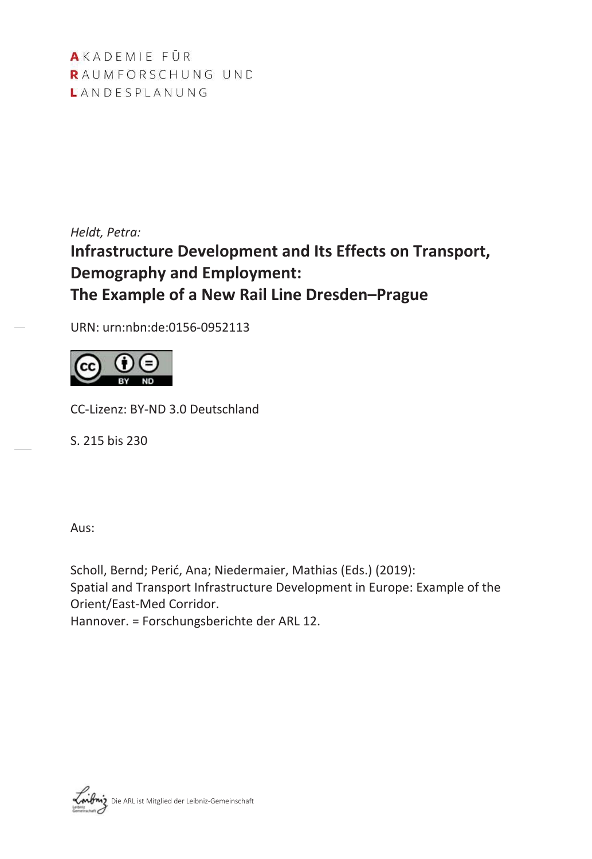AKADEMIE FÜR RAUMFORSCHUNG UND LANDESPLANUNG

*Heldt, Petra:*

# **Infrastructure Development and Its Effects on Transport, Demography and Employment: The Example of a New Rail Line Dresden–Prague**

URN: urn:nbn:de:0156-0952113



CC-Lizenz: BY-ND 3.0 Deutschland

S. 215 bis 230

Aus:

Scholl, Bernd; Perić, Ana; Niedermaier, Mathias (Eds.) (2019): Spatial and Transport Infrastructure Development in Europe: Example of the Orient/East-Med Corridor.

Hannover. = Forschungsberichte der ARL 12.

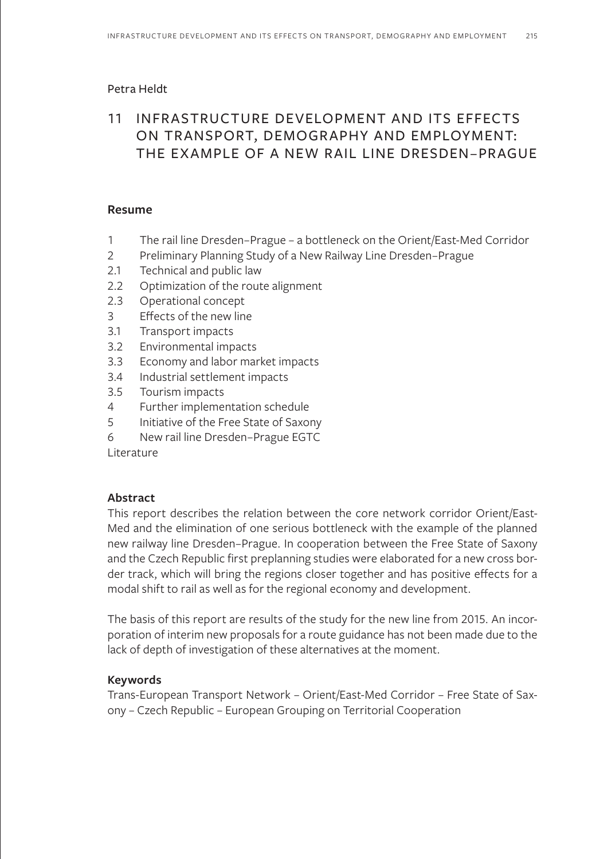### Petra Heldt

# 11 INFRASTRUCTURE DEVELOPMENT AND ITS EFFECTS ON TRANSPORT, DEMOGRAPHY AND EMPLOYMENT: THE EXAMPLE OF A NEW RAIL LINE DRESDEN–PRAGUE

### **Resume**

- 1 The rail line Dresden–Prague a bottleneck on the Orient/East-Med Corridor
- 2 Preliminary Planning Study of a New Railway Line Dresden–Prague
- 2.1 Technical and public law
- 2.2 Optimization of the route alignment
- 2.3 Operational concept
- 3 Effects of the new line
- 3.1 Transport impacts
- 3.2 Environmental impacts
- 3.3 Economy and labor market impacts
- 3.4 Industrial settlement impacts
- 3.5 Tourism impacts
- 4 Further implementation schedule
- 5 Initiative of the Free State of Saxony
- 6 New rail line Dresden–Prague EGTC

Literature

### **Abstract**

This report describes the relation between the core network corridor Orient/East-Med and the elimination of one serious bottleneck with the example of the planned new railway line Dresden–Prague. In cooperation between the Free State of Saxony and the Czech Republic first preplanning studies were elaborated for a new cross border track, which will bring the regions closer together and has positive effects for a modal shift to rail as well as for the regional economy and development.

The basis of this report are results of the study for the new line from 2015. An incorporation of interim new proposals for a route guidance has not been made due to the lack of depth of investigation of these alternatives at the moment.

### **Keywords**

Trans-European Transport Network – Orient/East-Med Corridor – Free State of Saxony – Czech Republic – European Grouping on Territorial Cooperation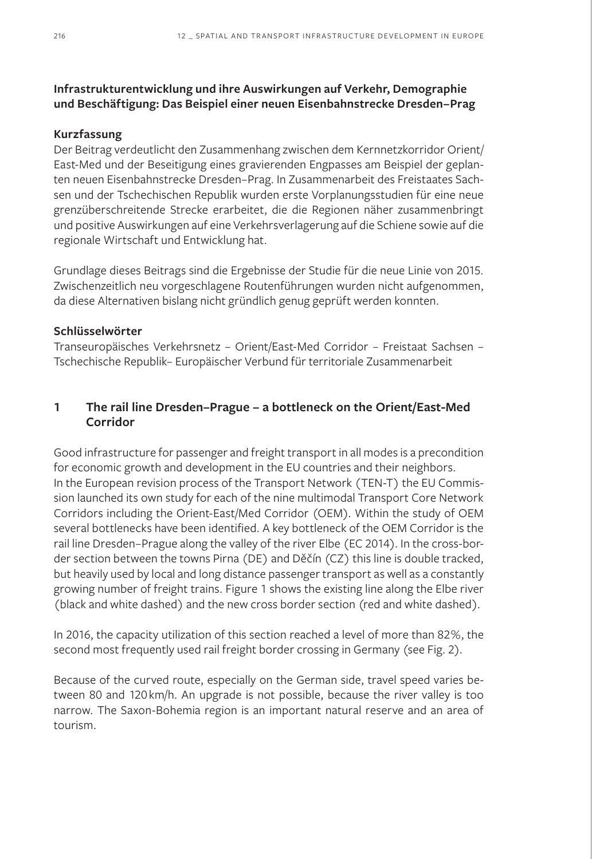# **Infrastrukturentwicklung und ihre Auswirkungen auf Verkehr, Demographie und Beschäftigung: Das Beispiel einer neuen Eisenbahnstrecke Dresden–Prag**

### **Kurzfassung**

Der Beitrag verdeutlicht den Zusammenhang zwischen dem Kernnetzkorridor Orient/ East-Med und der Beseitigung eines gravierenden Engpasses am Beispiel der geplanten neuen Eisenbahnstrecke Dresden–Prag. In Zusammenarbeit des Freistaates Sachsen und der Tschechischen Republik wurden erste Vorplanungsstudien für eine neue grenzüberschreitende Strecke erarbeitet, die die Regionen näher zusammenbringt und positive Auswirkungen auf eine Verkehrsverlagerung auf die Schiene sowie auf die regionale Wirtschaft und Entwicklung hat.

Grundlage dieses Beitrags sind die Ergebnisse der Studie für die neue Linie von 2015. Zwischenzeitlich neu vorgeschlagene Routenführungen wurden nicht aufgenommen, da diese Alternativen bislang nicht gründlich genug geprüft werden konnten.

### **Schlüsselwörter**

Transeuropäisches Verkehrsnetz – Orient/East-Med Corridor – Freistaat Sachsen – Tschechische Republik– Europäischer Verbund für territoriale Zusammenarbeit

### **1 The rail line Dresden–Prague – a bottleneck on the Orient/East-Med Corridor**

Good infrastructure for passenger and freight transport in all modes is a precondition for economic growth and development in the EU countries and their neighbors. In the European revision process of the Transport Network (TEN-T) the EU Commission launched its own study for each of the nine multimodal Transport Core Network Corridors including the Orient-East/Med Corridor (OEM). Within the study of OEM several bottlenecks have been identified. A key bottleneck of the OEM Corridor is the rail line Dresden–Prague along the valley of the river Elbe (EC 2014). In the cross-border section between the towns Pirna (DE) and Děčín (CZ) this line is double tracked, but heavily used by local and long distance passenger transport as well as a constantly growing number of freight trains. Figure 1 shows the existing line along the Elbe river (black and white dashed) and the new cross border section (red and white dashed).

In 2016, the capacity utilization of this section reached a level of more than 82%, the second most frequently used rail freight border crossing in Germany (see Fig. 2).

Because of the curved route, especially on the German side, travel speed varies between 80 and 120km/h. An upgrade is not possible, because the river valley is too narrow. The Saxon-Bohemia region is an important natural reserve and an area of tourism.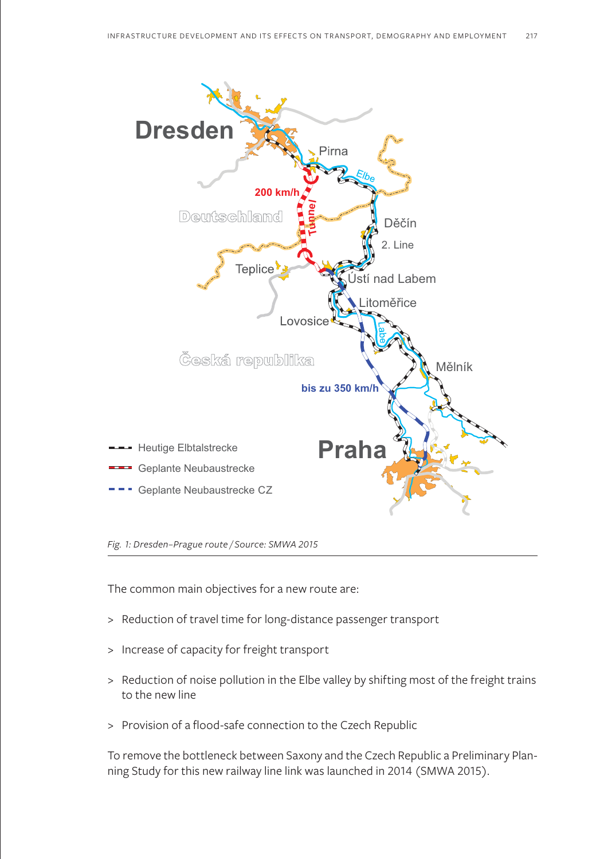

*Fig. 1: Dresden–Prague route / Source: SMWA 2015*

The common main objectives for a new route are:

- > Reduction of travel time for long-distance passenger transport
- > Increase of capacity for freight transport
- > Reduction of noise pollution in the Elbe valley by shifting most of the freight trains to the new line
- > Provision of a flood-safe connection to the Czech Republic

To remove the bottleneck between Saxony and the Czech Republic a Preliminary Planning Study for this new railway line link was launched in 2014 (SMWA 2015).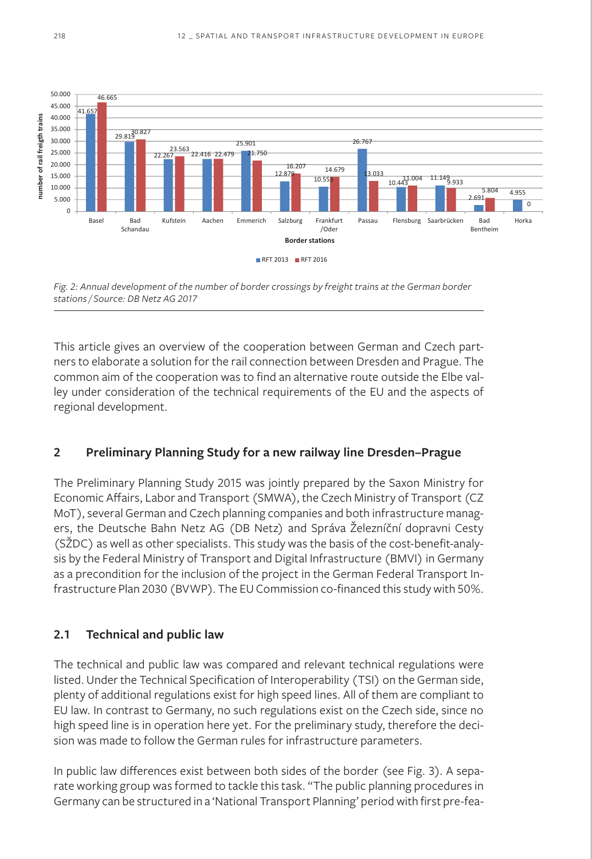

*Fig. 2: Annual development of the number of border crossings by freight trains at the German border stations / Source: DB Netz AG 2017*

This article gives an overview of the cooperation between German and Czech partners to elaborate a solution for the rail connection between Dresden and Prague. The common aim of the cooperation was to find an alternative route outside the Elbe valley under consideration of the technical requirements of the EU and the aspects of regional development.

### **2 Preliminary Planning Study for a new railway line Dresden–Prague**

The Preliminary Planning Study 2015 was jointly prepared by the Saxon Ministry for Economic Affairs, Labor and Transport (SMWA), the Czech Ministry of Transport (CZ MoT), several German and Czech planning companies and both infrastructure managers, the Deutsche Bahn Netz AG (DB Netz) and Správa Železníční dopravni Cesty (SŽDC) as well as other specialists. This study was the basis of the cost-benefit-analysis by the Federal Ministry of Transport and Digital Infrastructure (BMVI) in Germany as a precondition for the inclusion of the project in the German Federal Transport Infrastructure Plan 2030 (BVWP). The EU Commission co-financed this study with 50%.

# **2.1 Technical and public law**

The technical and public law was compared and relevant technical regulations were listed. Under the Technical Specification of Interoperability (TSI) on the German side, plenty of additional regulations exist for high speed lines. All of them are compliant to EU law. In contrast to Germany, no such regulations exist on the Czech side, since no high speed line is in operation here yet. For the preliminary study, therefore the decision was made to follow the German rules for infrastructure parameters.

In public law differences exist between both sides of the border (see Fig. 3). A separate working group was formed to tackle this task. "The public planning procedures in Germany can be structured in a 'National Transport Planning' period with first pre-fea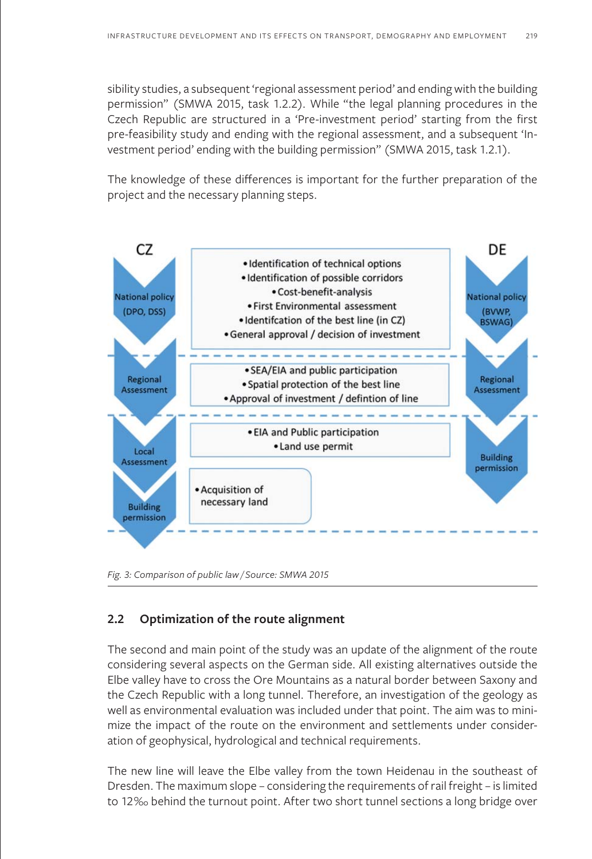sibility studies, a subsequent 'regional assessment period' and ending with the building permission" (SMWA 2015, task 1.2.2). While "the legal planning procedures in the Czech Republic are structured in a 'Pre-investment period' starting from the first pre-feasibility study and ending with the regional assessment, and a subsequent 'Investment period' ending with the building permission" (SMWA 2015, task 1.2.1).

The knowledge of these differences is important for the further preparation of the project and the necessary planning steps.



*Fig. 3: Comparison of public law / Source: SMWA 2015*

### **2.2 Optimization of the route alignment**

The second and main point of the study was an update of the alignment of the route considering several aspects on the German side. All existing alternatives outside the Elbe valley have to cross the Ore Mountains as a natural border between Saxony and the Czech Republic with a long tunnel. Therefore, an investigation of the geology as well as environmental evaluation was included under that point. The aim was to minimize the impact of the route on the environment and settlements under consideration of geophysical, hydrological and technical requirements.

The new line will leave the Elbe valley from the town Heidenau in the southeast of Dresden. The maximum slope – considering the requirements of rail freight – is limited to 12‰ behind the turnout point. After two short tunnel sections a long bridge over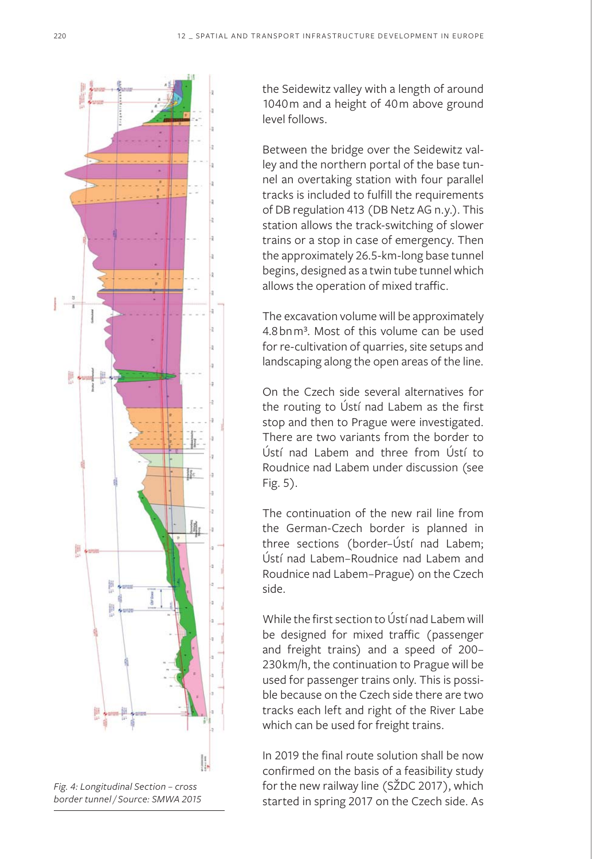

*Fig. 4: Longitudinal Section – cross border tunnel / Source: SMWA 2015*

the Seidewitz valley with a length of around 1040m and a height of 40m above ground level follows.

Between the bridge over the Seidewitz valley and the northern portal of the base tunnel an overtaking station with four parallel tracks is included to fulfill the requirements of DB regulation 413 (DB Netz AG n.y.). This station allows the track-switching of slower trains or a stop in case of emergency. Then the approximately 26.5-km-long base tunnel begins, designed as a twin tube tunnel which allows the operation of mixed traffic.

The excavation volume will be approximately 4.8bnm<sup>3</sup>. Most of this volume can be used for re-cultivation of quarries, site setups and landscaping along the open areas of the line.

On the Czech side several alternatives for the routing to Ústí nad Labem as the first stop and then to Prague were investigated. There are two variants from the border to Ústí nad Labem and three from Ústí to Roudnice nad Labem under discussion (see Fig. 5).

The continuation of the new rail line from the German-Czech border is planned in three sections (border–Ústí nad Labem; Ústí nad Labem–Roudnice nad Labem and Roudnice nad Labem–Prague) on the Czech side.

While the first section to Ústí nad Labem will be designed for mixed traffic (passenger and freight trains) and a speed of 200– 230km/h, the continuation to Prague will be used for passenger trains only. This is possible because on the Czech side there are two tracks each left and right of the River Labe which can be used for freight trains.

In 2019 the final route solution shall be now confirmed on the basis of a feasibility study for the new railway line (SŽDC 2017), which started in spring 2017 on the Czech side. As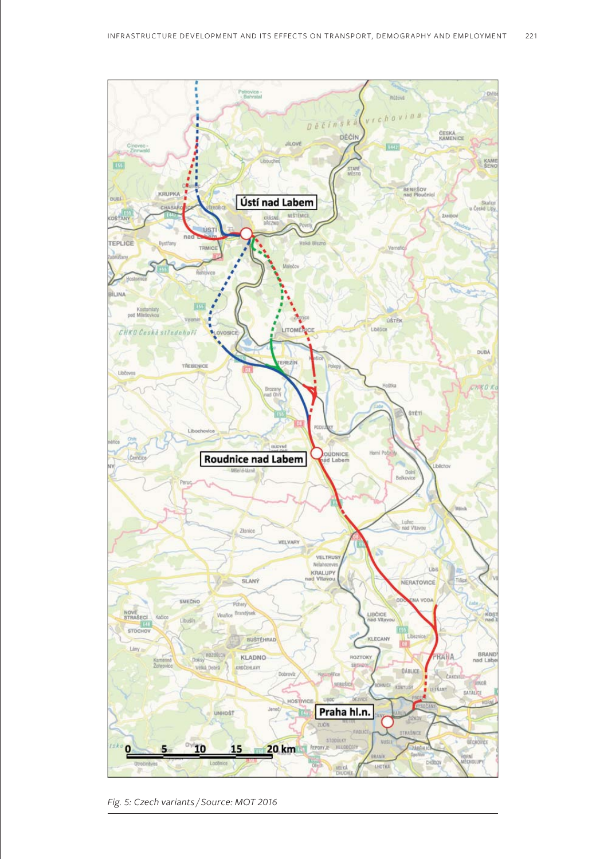

*Fig. 5: Czech variants / Source: MOT 2016*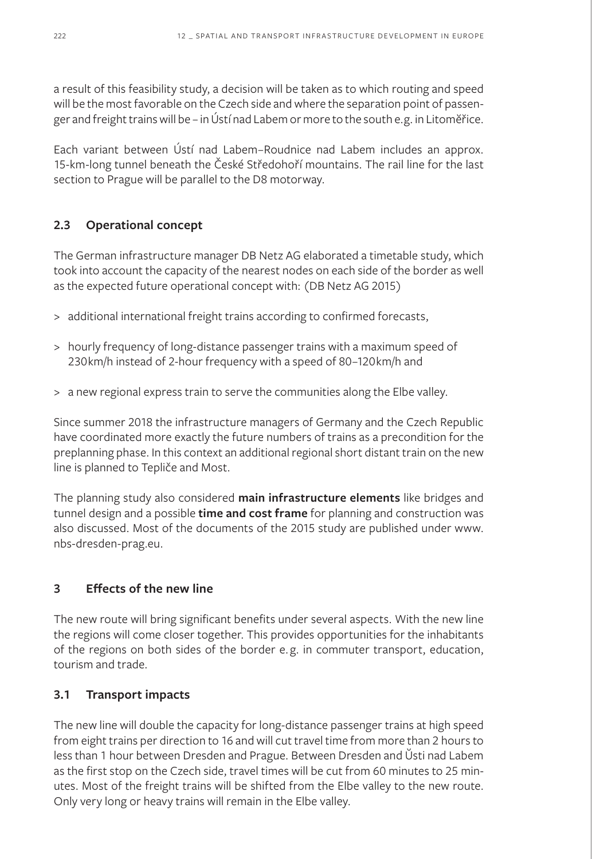a result of this feasibility study, a decision will be taken as to which routing and speed will be the most favorable on the Czech side and where the separation point of passenger and freight trains will be – in Ústí nad Labem or more to the south e.g. in Litomĕřice.

Each variant between Ústí nad Labem–Roudnice nad Labem includes an approx. 15-km-long tunnel beneath the České Středohoří mountains. The rail line for the last section to Prague will be parallel to the D8 motorway.

# **2.3 Operational concept**

The German infrastructure manager DB Netz AG elaborated a timetable study, which took into account the capacity of the nearest nodes on each side of the border as well as the expected future operational concept with: (DB Netz AG 2015)

- > additional international freight trains according to confirmed forecasts,
- > hourly frequency of long-distance passenger trains with a maximum speed of 230km/h instead of 2-hour frequency with a speed of 80–120km/h and
- > a new regional express train to serve the communities along the Elbe valley.

Since summer 2018 the infrastructure managers of Germany and the Czech Republic have coordinated more exactly the future numbers of trains as a precondition for the preplanning phase. In this context an additional regional short distant train on the new line is planned to Tepliče and Most.

The planning study also considered **main infrastructure elements** like bridges and tunnel design and a possible **time and cost frame** for planning and construction was also discussed. Most of the documents of the 2015 study are published under www. nbs-dresden-prag.eu.

# **3 Effects of the new line**

The new route will bring significant benefits under several aspects. With the new line the regions will come closer together. This provides opportunities for the inhabitants of the regions on both sides of the border e. g. in commuter transport, education, tourism and trade.

# **3.1 Transport impacts**

The new line will double the capacity for long-distance passenger trains at high speed from eight trains per direction to 16 and will cut travel time from more than 2 hours to less than 1 hour between Dresden and Prague. Between Dresden and Ŭsti nad Labem as the first stop on the Czech side, travel times will be cut from 60 minutes to 25 minutes. Most of the freight trains will be shifted from the Elbe valley to the new route. Only very long or heavy trains will remain in the Elbe valley.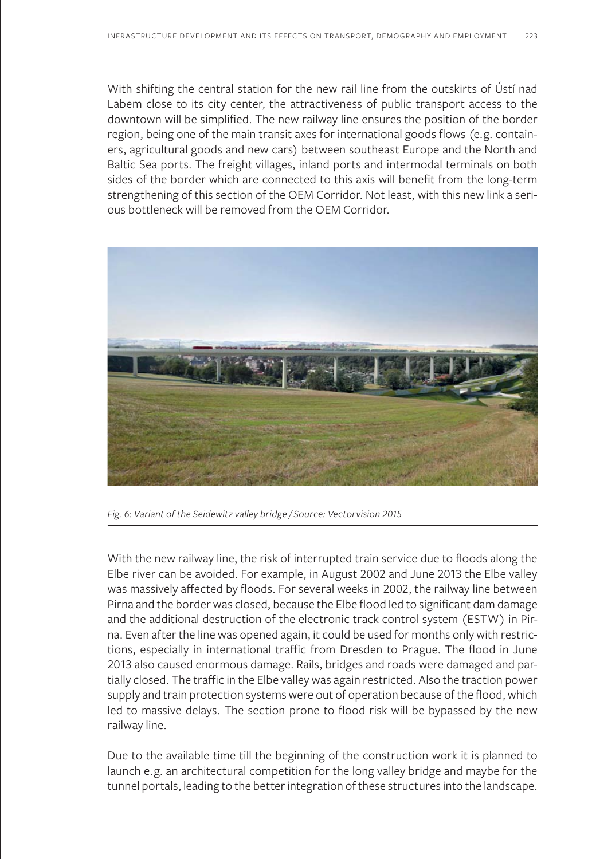With shifting the central station for the new rail line from the outskirts of Ústí nad Labem close to its city center, the attractiveness of public transport access to the downtown will be simplified. The new railway line ensures the position of the border region, being one of the main transit axes for international goods flows (e.g. containers, agricultural goods and new cars) between southeast Europe and the North and Baltic Sea ports. The freight villages, inland ports and intermodal terminals on both sides of the border which are connected to this axis will benefit from the long-term strengthening of this section of the OEM Corridor. Not least, with this new link a serious bottleneck will be removed from the OEM Corridor.



*Fig. 6: Variant of the Seidewitz valley bridge / Source: Vectorvision 2015*

With the new railway line, the risk of interrupted train service due to floods along the Elbe river can be avoided. For example, in August 2002 and June 2013 the Elbe valley was massively affected by floods. For several weeks in 2002, the railway line between Pirna and the border was closed, because the Elbe flood led to significant dam damage and the additional destruction of the electronic track control system (ESTW) in Pirna. Even after the line was opened again, it could be used for months only with restrictions, especially in international traffic from Dresden to Prague. The flood in June 2013 also caused enormous damage. Rails, bridges and roads were damaged and partially closed. The traffic in the Elbe valley was again restricted. Also the traction power supply and train protection systems were out of operation because of the flood, which led to massive delays. The section prone to flood risk will be bypassed by the new railway line.

Due to the available time till the beginning of the construction work it is planned to launch e.g. an architectural competition for the long valley bridge and maybe for the tunnel portals, leading to the better integration of these structures into the landscape.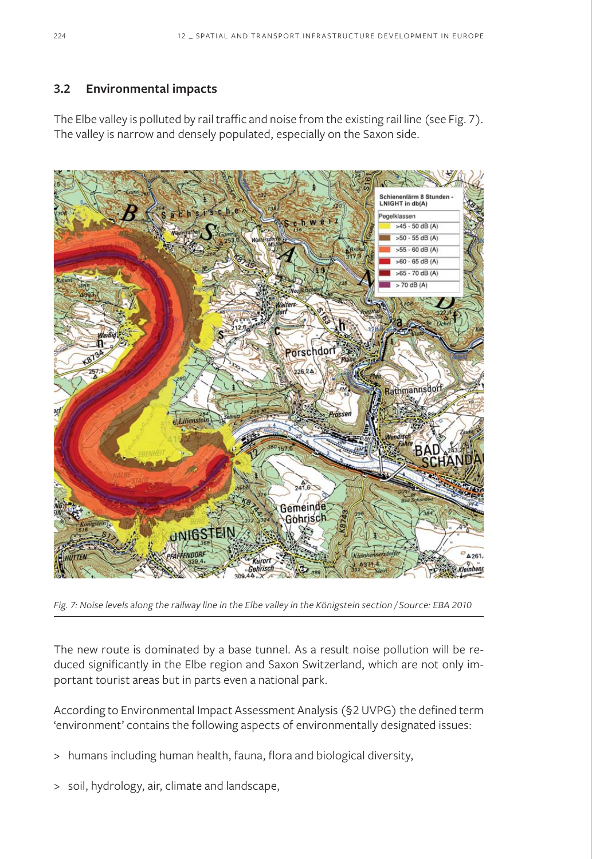# **3.2 Environmental impacts**

The Elbe valley is polluted by rail traffic and noise from the existing rail line (see Fig. 7). The valley is narrow and densely populated, especially on the Saxon side.



*Fig. 7: Noise levels along the railway line in the Elbe valley in the Königstein section / Source: EBA 2010*

The new route is dominated by a base tunnel. As a result noise pollution will be reduced significantly in the Elbe region and Saxon Switzerland, which are not only important tourist areas but in parts even a national park.

According to Environmental Impact Assessment Analysis (§2 UVPG) the defined term 'environment' contains the following aspects of environmentally designated issues:

- > humans including human health, fauna, flora and biological diversity,
- > soil, hydrology, air, climate and landscape,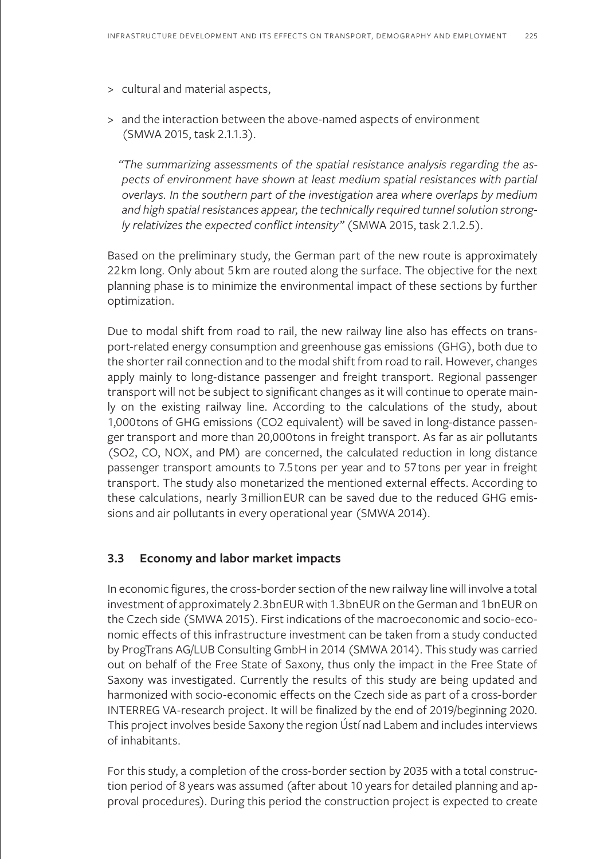- > cultural and material aspects,
- > and the interaction between the above-named aspects of environment (SMWA 2015, task 2.1.1.3).

*"The summarizing assessments of the spatial resistance analysis regarding the aspects of environment have shown at least medium spatial resistances with partial overlays. In the southern part of the investigation area where overlaps by medium and high spatial resistances appear, the technically required tunnel solution strongly relativizes the expected conflict intensity"* (SMWA 2015, task 2.1.2.5).

Based on the preliminary study, the German part of the new route is approximately 22km long. Only about 5km are routed along the surface. The objective for the next planning phase is to minimize the environmental impact of these sections by further optimization.

Due to modal shift from road to rail, the new railway line also has effects on transport-related energy consumption and greenhouse gas emissions (GHG), both due to the shorter rail connection and to the modal shift from road to rail. However, changes apply mainly to long-distance passenger and freight transport. Regional passenger transport will not be subject to significant changes as it will continue to operate mainly on the existing railway line. According to the calculations of the study, about 1,000tons of GHG emissions (CO2 equivalent) will be saved in long-distance passenger transport and more than 20,000tons in freight transport. As far as air pollutants (SO2, CO, NOX, and PM) are concerned, the calculated reduction in long distance passenger transport amounts to 7.5tons per year and to 57tons per year in freight transport. The study also monetarized the mentioned external effects. According to these calculations, nearly 3millionEUR can be saved due to the reduced GHG emissions and air pollutants in every operational year (SMWA 2014).

### **3.3 Economy and labor market impacts**

In economic figures, the cross-border section of the new railway line will involve a total investment of approximately 2.3bnEUR with 1.3bnEUR on the German and 1bnEUR on the Czech side (SMWA 2015). First indications of the macroeconomic and socio-economic effects of this infrastructure investment can be taken from a study conducted by ProgTrans AG/LUB Consulting GmbH in 2014 (SMWA 2014). This study was carried out on behalf of the Free State of Saxony, thus only the impact in the Free State of Saxony was investigated. Currently the results of this study are being updated and harmonized with socio-economic effects on the Czech side as part of a cross-border INTERREG VA-research project. It will be finalized by the end of 2019/beginning 2020. This project involves beside Saxony the region Ústí nad Labem and includes interviews of inhabitants.

For this study, a completion of the cross-border section by 2035 with a total construction period of 8 years was assumed (after about 10 years for detailed planning and approval procedures). During this period the construction project is expected to create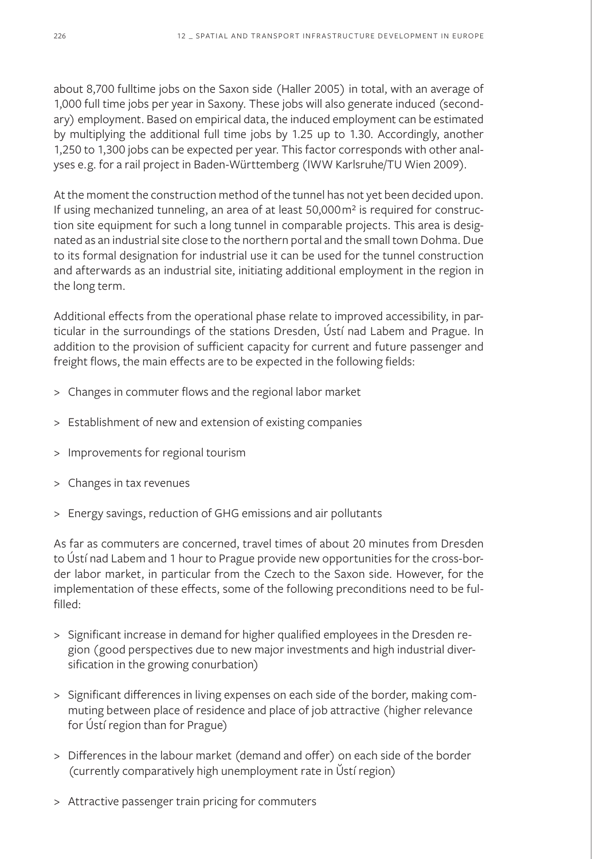about 8,700 fulltime jobs on the Saxon side (Haller 2005) in total, with an average of 1,000 full time jobs per year in Saxony. These jobs will also generate induced (secondary) employment. Based on empirical data, the induced employment can be estimated by multiplying the additional full time jobs by 1.25 up to 1.30. Accordingly, another 1,250 to 1,300 jobs can be expected per year. This factor corresponds with other analyses e.g. for a rail project in Baden-Württemberg (IWW Karlsruhe/TU Wien 2009).

At the moment the construction method of the tunnel has not yet been decided upon. If using mechanized tunneling, an area of at least 50,000m<sup>2</sup> is required for construction site equipment for such a long tunnel in comparable projects. This area is designated as an industrial site close to the northern portal and the small town Dohma. Due to its formal designation for industrial use it can be used for the tunnel construction and afterwards as an industrial site, initiating additional employment in the region in the long term.

Additional effects from the operational phase relate to improved accessibility, in particular in the surroundings of the stations Dresden, Ústí nad Labem and Prague. In addition to the provision of sufficient capacity for current and future passenger and freight flows, the main effects are to be expected in the following fields:

- > Changes in commuter flows and the regional labor market
- > Establishment of new and extension of existing companies
- > Improvements for regional tourism
- > Changes in tax revenues
- > Energy savings, reduction of GHG emissions and air pollutants

As far as commuters are concerned, travel times of about 20 minutes from Dresden to Ústí nad Labem and 1 hour to Prague provide new opportunities for the cross-border labor market, in particular from the Czech to the Saxon side. However, for the implementation of these effects, some of the following preconditions need to be fulfilled:

- > Significant increase in demand for higher qualified employees in the Dresden region (good perspectives due to new major investments and high industrial diversification in the growing conurbation)
- > Significant differences in living expenses on each side of the border, making commuting between place of residence and place of job attractive (higher relevance for Ústí region than for Prague)
- > Differences in the labour market (demand and offer) on each side of the border (currently comparatively high unemployment rate in Ŭstí region)
- > Attractive passenger train pricing for commuters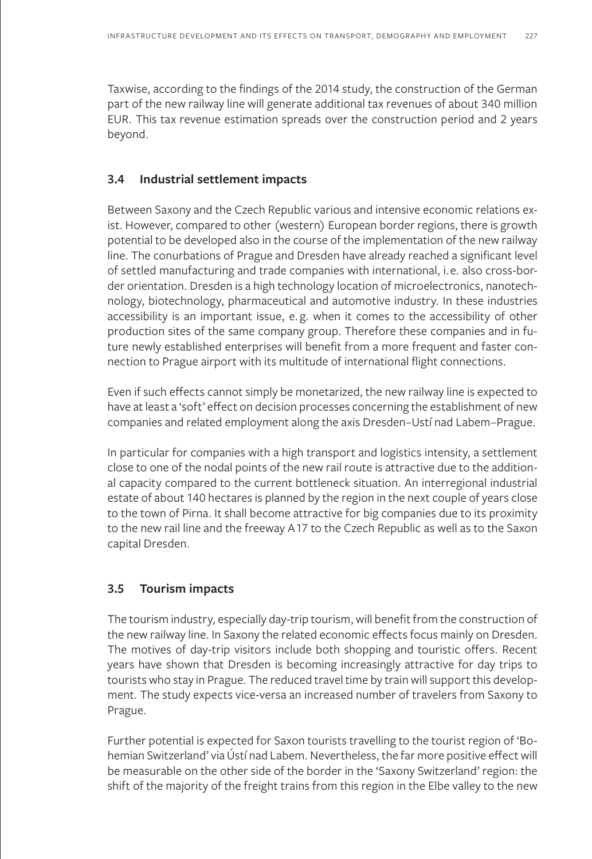Taxwise, according to the findings of the 2014 study, the construction of the German part of the new railway line will generate additional tax revenues of about 340 million EUR. This tax revenue estimation spreads over the construction period and 2 years beyond.

### **3.4 Industrial settlement impacts**

Between Saxony and the Czech Republic various and intensive economic relations exist. However, compared to other (western) European border regions, there is growth potential to be developed also in the course of the implementation of the new railway line. The conurbations of Prague and Dresden have already reached a significant level of settled manufacturing and trade companies with international, i.e. also cross-border orientation. Dresden is a high technology location of microelectronics, nanotechnology, biotechnology, pharmaceutical and automotive industry. In these industries accessibility is an important issue, e. g. when it comes to the accessibility of other production sites of the same company group. Therefore these companies and in future newly established enterprises will benefit from a more frequent and faster connection to Prague airport with its multitude of international flight connections.

Even if such effects cannot simply be monetarized, the new railway line is expected to have at least a 'soft' effect on decision processes concerning the establishment of new companies and related employment along the axis Dresden–Ustí nad Labem–Prague.

In particular for companies with a high transport and logistics intensity, a settlement close to one of the nodal points of the new rail route is attractive due to the additional capacity compared to the current bottleneck situation. An interregional industrial estate of about 140 hectares is planned by the region in the next couple of years close to the town of Pirna. It shall become attractive for big companies due to its proximity to the new rail line and the freeway A17 to the Czech Republic as well as to the Saxon capital Dresden.

# **3.5 Tourism impacts**

The tourism industry, especially day-trip tourism, will benefit from the construction of the new railway line. In Saxony the related economic effects focus mainly on Dresden. The motives of day-trip visitors include both shopping and touristic offers. Recent years have shown that Dresden is becoming increasingly attractive for day trips to tourists who stay in Prague. The reduced travel time by train will support this development. The study expects vice-versa an increased number of travelers from Saxony to Prague.

Further potential is expected for Saxon tourists travelling to the tourist region of 'Bohemian Switzerland' via Ústí nad Labem. Nevertheless, the far more positive effect will be measurable on the other side of the border in the 'Saxony Switzerland' region: the shift of the majority of the freight trains from this region in the Elbe valley to the new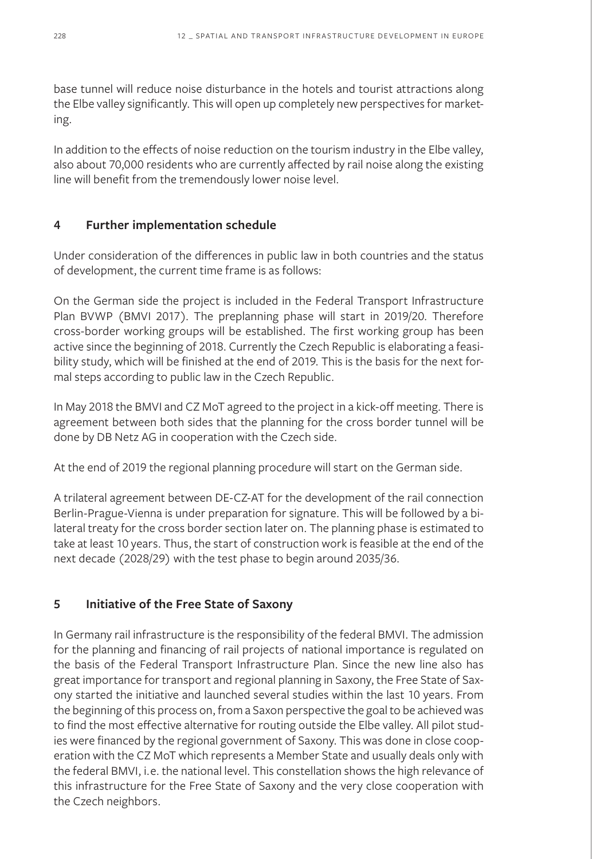base tunnel will reduce noise disturbance in the hotels and tourist attractions along the Elbe valley significantly. This will open up completely new perspectives for marketing.

In addition to the effects of noise reduction on the tourism industry in the Elbe valley, also about 70,000 residents who are currently affected by rail noise along the existing line will benefit from the tremendously lower noise level.

# **4 Further implementation schedule**

Under consideration of the differences in public law in both countries and the status of development, the current time frame is as follows:

On the German side the project is included in the Federal Transport Infrastructure Plan BVWP (BMVI 2017). The preplanning phase will start in 2019/20. Therefore cross-border working groups will be established. The first working group has been active since the beginning of 2018. Currently the Czech Republic is elaborating a feasibility study, which will be finished at the end of 2019. This is the basis for the next formal steps according to public law in the Czech Republic.

In May 2018 the BMVI and CZ MoT agreed to the project in a kick-off meeting. There is agreement between both sides that the planning for the cross border tunnel will be done by DB Netz AG in cooperation with the Czech side.

At the end of 2019 the regional planning procedure will start on the German side.

A trilateral agreement between DE-CZ-AT for the development of the rail connection Berlin-Prague-Vienna is under preparation for signature. This will be followed by a bilateral treaty for the cross border section later on. The planning phase is estimated to take at least 10 years. Thus, the start of construction work is feasible at the end of the next decade (2028/29) with the test phase to begin around 2035/36.

# **5 Initiative of the Free State of Saxony**

In Germany rail infrastructure is the responsibility of the federal BMVI. The admission for the planning and financing of rail projects of national importance is regulated on the basis of the Federal Transport Infrastructure Plan. Since the new line also has great importance for transport and regional planning in Saxony, the Free State of Saxony started the initiative and launched several studies within the last 10 years. From the beginning of this process on, from a Saxon perspective the goal to be achieved was to find the most effective alternative for routing outside the Elbe valley. All pilot studies were financed by the regional government of Saxony. This was done in close cooperation with the CZ MoT which represents a Member State and usually deals only with the federal BMVI, i.e. the national level. This constellation shows the high relevance of this infrastructure for the Free State of Saxony and the very close cooperation with the Czech neighbors.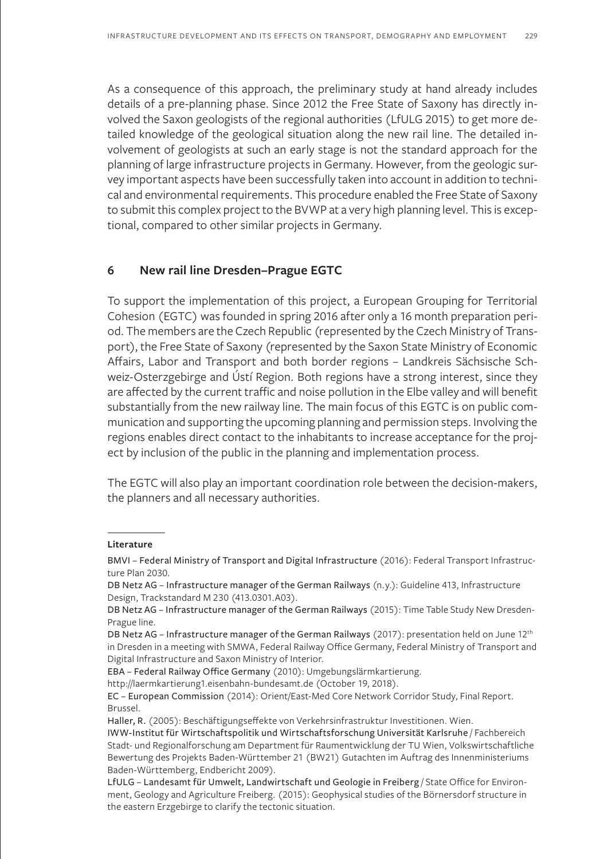As a consequence of this approach, the preliminary study at hand already includes details of a pre-planning phase. Since 2012 the Free State of Saxony has directly involved the Saxon geologists of the regional authorities (LfULG 2015) to get more detailed knowledge of the geological situation along the new rail line. The detailed involvement of geologists at such an early stage is not the standard approach for the planning of large infrastructure projects in Germany. However, from the geologic survey important aspects have been successfully taken into account in addition to technical and environmental requirements. This procedure enabled the Free State of Saxony to submit this complex project to the BVWP at a very high planning level. This is exceptional, compared to other similar projects in Germany.

### **6 New rail line Dresden–Prague EGTC**

To support the implementation of this project, a European Grouping for Territorial Cohesion (EGTC) was founded in spring 2016 after only a 16 month preparation period. The members are the Czech Republic (represented by the Czech Ministry of Transport), the Free State of Saxony (represented by the Saxon State Ministry of Economic Affairs, Labor and Transport and both border regions – Landkreis Sächsische Schweiz-Osterzgebirge and Ústí Region. Both regions have a strong interest, since they are affected by the current traffic and noise pollution in the Elbe valley and will benefit substantially from the new railway line. The main focus of this EGTC is on public communication and supporting the upcoming planning and permission steps. Involving the regions enables direct contact to the inhabitants to increase acceptance for the project by inclusion of the public in the planning and implementation process.

The EGTC will also play an important coordination role between the decision-makers, the planners and all necessary authorities.

**Literature**

BMVI – Federal Ministry of Transport and Digital Infrastructure (2016): Federal Transport Infrastructure Plan 2030.

DB Netz AG – Infrastructure manager of the German Railways (n.y.): Guideline 413, Infrastructure Design, Trackstandard M 230 (413.0301.A03).

DB Netz AG – Infrastructure manager of the German Railways (2015): Time Table Study New Dresden-Prague line.

DB Netz AG – Infrastructure manager of the German Railways (2017): presentation held on June 12<sup>th</sup> in Dresden in a meeting with SMWA, Federal Railway Office Germany, Federal Ministry of Transport and Digital Infrastructure and Saxon Ministry of Interior.

EBA – Federal Railway Office Germany (2010): Umgebungslärmkartierung.

http://laermkartierung1.eisenbahn-bundesamt.de (October 19, 2018).

EC – European Commission (2014): Orient/East-Med Core Network Corridor Study, Final Report. Brussel.

Haller, R. (2005): Beschäftigungseffekte von Verkehrsinfrastruktur Investitionen. Wien.

IWW-Institut für Wirtschaftspolitik und Wirtschaftsforschung Universität Karlsruhe / Fachbereich Stadt- und Regionalforschung am Department für Raumentwicklung der TU Wien, Volkswirtschaftliche Bewertung des Projekts Baden-Württember 21 (BW21) Gutachten im Auftrag des Innenministeriums Baden-Württemberg, Endbericht 2009).

LfULG – Landesamt für Umwelt, Landwirtschaft und Geologie in Freiberg / State Office for Environment, Geology and Agriculture Freiberg. (2015): Geophysical studies of the Börnersdorf structure in the eastern Erzgebirge to clarify the tectonic situation.